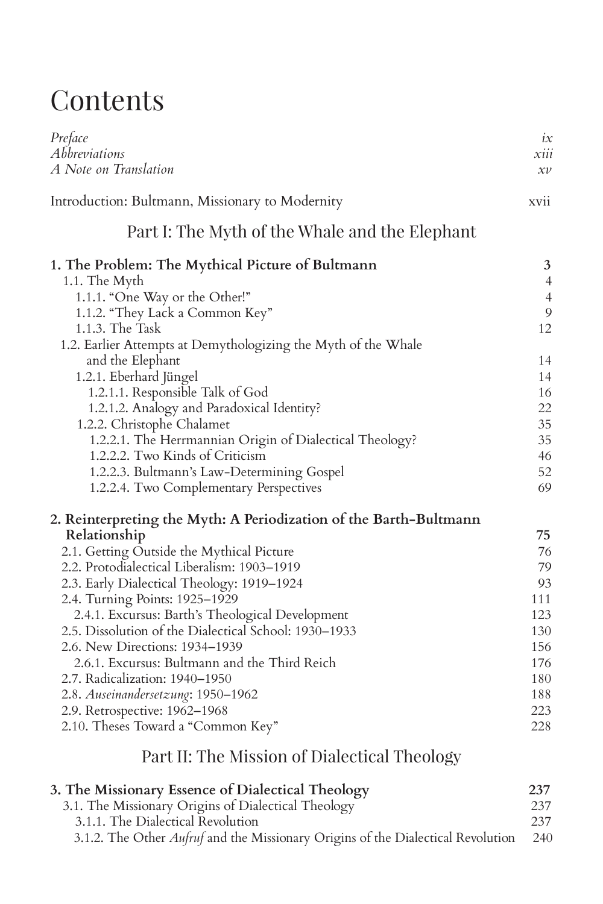## **Contents**

| Preface<br>Abbreviations<br>A Note on Translation                        | ix<br>xiii<br>$x\nu$ |
|--------------------------------------------------------------------------|----------------------|
| Introduction: Bultmann, Missionary to Modernity                          | xvii                 |
| Part I: The Myth of the Whale and the Elephant                           |                      |
| 1. The Problem: The Mythical Picture of Bultmann                         | 3                    |
| 1.1. The Myth                                                            | $\overline{4}$       |
| 1.1.1. "One Way or the Other!"                                           | $\overline{4}$       |
| 1.1.2. "They Lack a Common Key"                                          | 9                    |
| $1.1.3$ . The Task                                                       | 12                   |
| 1.2. Earlier Attempts at Demythologizing the Myth of the Whale           |                      |
| and the Elephant                                                         | 14                   |
| 1.2.1. Eberhard Jüngel                                                   | 14                   |
| 1.2.1.1. Responsible Talk of God                                         | 16<br>22             |
| 1.2.1.2. Analogy and Paradoxical Identity?<br>1.2.2. Christophe Chalamet | 35                   |
| 1.2.2.1. The Herrmannian Origin of Dialectical Theology?                 | 35                   |
| 1.2.2.2. Two Kinds of Criticism                                          | 46                   |
| 1.2.2.3. Bultmann's Law-Determining Gospel                               | 52                   |
| 1.2.2.4. Two Complementary Perspectives                                  | 69                   |
| 2. Reinterpreting the Myth: A Periodization of the Barth-Bultmann        |                      |
| Relationship                                                             | 75                   |
| 2.1. Getting Outside the Mythical Picture                                | 76                   |
| 2.2. Protodialectical Liberalism: 1903-1919                              | 79                   |
| 2.3. Early Dialectical Theology: 1919-1924                               | 93                   |
| 2.4. Turning Points: 1925-1929                                           | 111                  |
| 2.4.1. Excursus: Barth's Theological Development                         | 123                  |
| 2.5. Dissolution of the Dialectical School: 1930–1933                    | 130                  |
| 2.6. New Directions: 1934-1939                                           | 156                  |
| 2.6.1. Excursus: Bultmann and the Third Reich                            | 176                  |
| 2.7. Radicalization: 1940-1950                                           | 180                  |
| 2.8. Auseinandersetzung: 1950-1962                                       | 188                  |
| 2.9. Retrospective: 1962-1968                                            | 223                  |
| 2.10. Theses Toward a "Common Key"                                       | 228                  |
| Part II: The Mission of Dialectical Theology                             |                      |
| 3. The Missionary Essence of Dialectical Theology                        | 237                  |

3.1. The Missionary Origins of Dialectical Theology 237 3.1.1. The Dialectical Revolution 237 3.1.2. The Other *Aufruf* and the Missionary Origins of the Dialectical Revolution 240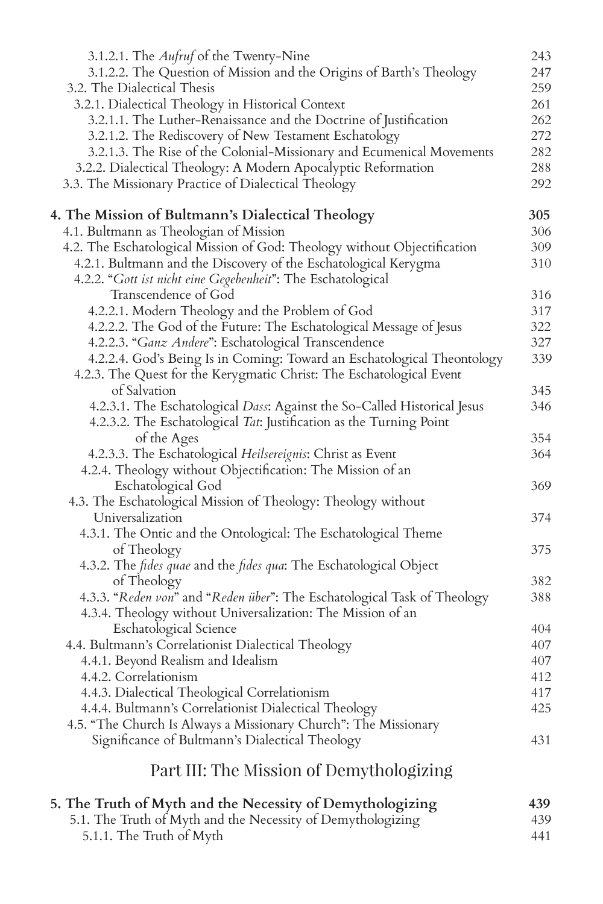| 3.1.2.1. The <i>Aufruf</i> of the Twenty-Nine                                     | 243 |
|-----------------------------------------------------------------------------------|-----|
| 3.1.2.2. The Question of Mission and the Origins of Barth's Theology              | 247 |
| 3.2. The Dialectical Thesis                                                       | 259 |
| 3.2.1. Dialectical Theology in Historical Context                                 | 261 |
| 3.2.1.1. The Luther-Renaissance and the Doctrine of Justification                 | 262 |
| 3.2.1.2. The Rediscovery of New Testament Eschatology                             | 272 |
| 3.2.1.3. The Rise of the Colonial-Missionary and Ecumenical Movements             | 282 |
| 3.2.2. Dialectical Theology: A Modern Apocalyptic Reformation                     | 288 |
| 3.3. The Missionary Practice of Dialectical Theology                              | 292 |
|                                                                                   |     |
| 4. The Mission of Bultmann's Dialectical Theology                                 | 305 |
| 4.1. Bultmann as Theologian of Mission                                            | 306 |
| 4.2. The Eschatological Mission of God: Theology without Objectification          | 309 |
| 4.2.1. Bultmann and the Discovery of the Eschatological Kerygma                   | 310 |
| 4.2.2. "Gott ist nicht eine Gegebenheit": The Eschatological                      |     |
| Transcendence of God                                                              | 316 |
| 4.2.2.1. Modern Theology and the Problem of God                                   | 317 |
| 4.2.2.2. The God of the Future: The Eschatological Message of Jesus               | 322 |
| 4.2.2.3. "Ganz Andere": Eschatological Transcendence                              | 327 |
| 4.2.2.4. God's Being Is in Coming: Toward an Eschatological Theontology           | 339 |
| 4.2.3. The Quest for the Kerygmatic Christ: The Eschatological Event              |     |
| of Salvation                                                                      | 345 |
| 4.2.3.1. The Eschatological Dass: Against the So-Called Historical Jesus          | 346 |
| 4.2.3.2. The Eschatological Tat: Justification as the Turning Point               |     |
| of the Ages                                                                       | 354 |
| 4.2.3.3. The Eschatological Heilsereignis: Christ as Event                        | 364 |
| 4.2.4. Theology without Objectification: The Mission of an                        |     |
| Eschatological God                                                                | 369 |
| 4.3. The Eschatological Mission of Theology: Theology without                     |     |
| Universalization                                                                  | 374 |
| 4.3.1. The Ontic and the Ontological: The Eschatological Theme                    |     |
| of Theology                                                                       | 375 |
| 4.3.2. The <i>fides quae</i> and the <i>fides qua</i> : The Eschatological Object |     |
| of Theology                                                                       | 382 |
| 4.3.3. "Reden von" and "Reden über": The Eschatological Task of Theology          | 388 |
| 4.3.4. Theology without Universalization: The Mission of an                       |     |
| Eschatological Science                                                            | 404 |
| 4.4. Bultmann's Correlationist Dialectical Theology                               | 407 |
| 4.4.1. Beyond Realism and Idealism                                                | 407 |
| 4.4.2. Correlationism                                                             | 412 |
| 4.4.3. Dialectical Theological Correlationism                                     | 417 |
| 4.4.4. Bultmann's Correlationist Dialectical Theology                             | 425 |
| 4.5. "The Church Is Always a Missionary Church": The Missionary                   |     |
| Significance of Bultmann's Dialectical Theology                                   | 431 |
| Part III: The Mission of Demythologizing                                          |     |
|                                                                                   |     |
| 5. The Truth of Myth and the Necessity of Demythologizing                         | 439 |
| 5.1. The Truth of Myth and the Necessity of Demythologizing                       | 439 |
| 5.1.1. The Truth of Myth                                                          | 441 |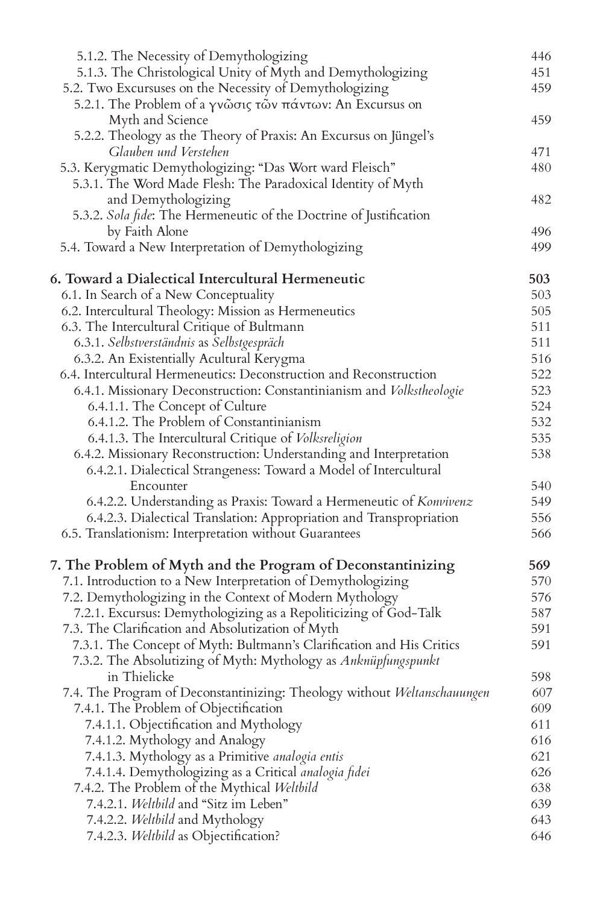| 5.1.2. The Necessity of Demythologizing                                  | 446 |
|--------------------------------------------------------------------------|-----|
| 5.1.3. The Christological Unity of Myth and Demythologizing              | 451 |
| 5.2. Two Excursuses on the Necessity of Demythologizing                  | 459 |
| 5.2.1. The Problem of a γνώσις τών πάντων: An Excursus on                |     |
| Myth and Science                                                         | 459 |
| 5.2.2. Theology as the Theory of Praxis: An Excursus on Jüngel's         |     |
| Glauben und Verstehen                                                    | 471 |
| 5.3. Kerygmatic Demythologizing: "Das Wort ward Fleisch"                 | 480 |
| 5.3.1. The Word Made Flesh: The Paradoxical Identity of Myth             |     |
| and Demythologizing                                                      | 482 |
| 5.3.2. Sola fide: The Hermeneutic of the Doctrine of Justification       |     |
| by Faith Alone                                                           | 496 |
| 5.4. Toward a New Interpretation of Demythologizing                      | 499 |
| 6. Toward a Dialectical Intercultural Hermeneutic                        | 503 |
| 6.1. In Search of a New Conceptuality                                    | 503 |
| 6.2. Intercultural Theology: Mission as Hermeneutics                     | 505 |
| 6.3. The Intercultural Critique of Bultmann                              | 511 |
| 6.3.1. Selbstverständnis as Selbstgespräch                               | 511 |
| 6.3.2. An Existentially Acultural Kerygma                                | 516 |
| 6.4. Intercultural Hermeneutics: Deconstruction and Reconstruction       | 522 |
| 6.4.1. Missionary Deconstruction: Constantinianism and Volkstheologie    | 523 |
| 6.4.1.1. The Concept of Culture                                          | 524 |
| 6.4.1.2. The Problem of Constantinianism                                 | 532 |
| 6.4.1.3. The Intercultural Critique of Volksreligion                     | 535 |
| 6.4.2. Missionary Reconstruction: Understanding and Interpretation       | 538 |
| 6.4.2.1. Dialectical Strangeness: Toward a Model of Intercultural        |     |
| Encounter                                                                | 540 |
| 6.4.2.2. Understanding as Praxis: Toward a Hermeneutic of Konvivenz      | 549 |
| 6.4.2.3. Dialectical Translation: Appropriation and Transpropriation     | 556 |
| 6.5. Translationism: Interpretation without Guarantees                   | 566 |
| 7. The Problem of Myth and the Program of Deconstantinizing              | 569 |
| 7.1. Introduction to a New Interpretation of Demythologizing             | 570 |
| 7.2. Demythologizing in the Context of Modern Mythology                  | 576 |
| 7.2.1. Excursus: Demythologizing as a Repoliticizing of God-Talk         | 587 |
| 7.3. The Clarification and Absolutization of Myth                        | 591 |
| 7.3.1. The Concept of Myth: Bultmann's Clarification and His Critics     | 591 |
| 7.3.2. The Absolutizing of Myth: Mythology as Anknüpfungspunkt           |     |
| in Thielicke                                                             | 598 |
| 7.4. The Program of Deconstantinizing: Theology without Weltanschauungen | 607 |
| 7.4.1. The Problem of Objectification                                    | 609 |
| 7.4.1.1. Objectification and Mythology                                   | 611 |
| 7.4.1.2. Mythology and Analogy                                           | 616 |
| 7.4.1.3. Mythology as a Primitive analogia entis                         | 621 |
| 7.4.1.4. Demythologizing as a Critical analogia fidei                    | 626 |
| 7.4.2. The Problem of the Mythical Weltbild                              | 638 |
| 7.4.2.1. Welthild and "Sitz im Leben"                                    | 639 |
| 7.4.2.2. Weltbild and Mythology                                          | 643 |
| 7.4.2.3. Welthild as Objectification?                                    | 646 |